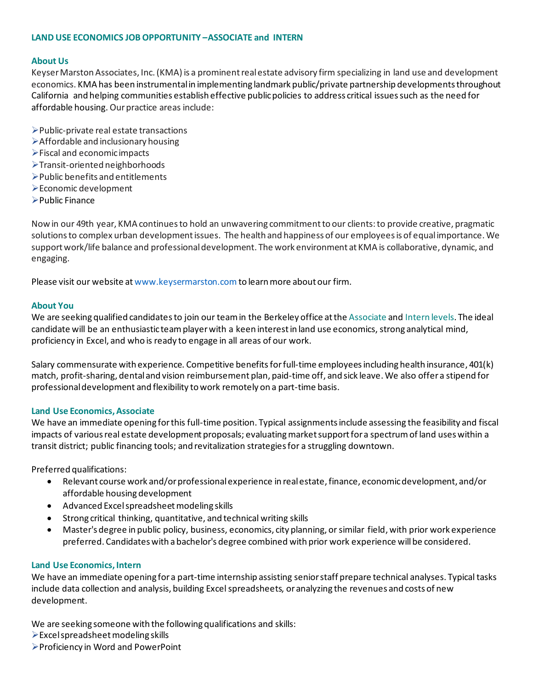### **LAND USE ECONOMICS JOB OPPORTUNITY –ASSOCIATE and INTERN**

### **About Us**

Keyser Marston Associates, Inc. (KMA) is a prominent real estate advisory firm specializing in land use and development economics. KMA has been instrumental in implementing landmark public/private partnership developments throughout California and helping communities establish effective public policies to address critical issues such as the need for affordable housing. Our practice areas include:

- ➢Public-private real estate transactions
- ➢Affordable and inclusionary housing
- ➢Fiscal and economic impacts
- ➢Transit-oriented neighborhoods
- ➢Public benefits and entitlements
- ➢Economic development
- ➢Public Finance

Now in our 49th year, KMA continues to hold an unwavering commitment to our clients: to provide creative, pragmatic solutions to complex urban development issues. The health and happiness of our employees is of equal importance. We support work/life balance and professional development. The work environment at KMA is collaborative, dynamic, and engaging.

Please visit our website at www.keysermarston.com to learn more about our firm.

#### **About You**

We are seeking qualified candidates to join our team in the Berkeley office at the Associate and Intern levels. The ideal candidate will be an enthusiastic team player with a keen interest in land use economics, strong analytical mind, proficiency in Excel, and who is ready to engage in all areas of our work.

Salary commensurate with experience. Competitive benefits for full-time employees including health insurance, 401(k) match, profit-sharing, dental and vision reimbursement plan, paid-time off, and sick leave. We also offer a stipend for professional development and flexibility to work remotely on a part-time basis.

#### **Land Use Economics,Associate**

We have an immediate opening for this full-time position. Typical assignments include assessing the feasibility and fiscal impacts of various real estate development proposals; evaluating market support for a spectrum of land uses within a transit district; public financing tools; and revitalization strategies for a struggling downtown.

Preferred qualifications:

- Relevant course work and/or professional experience in real estate, finance, economic development, and/or affordable housing development
- Advanced Excel spreadsheet modeling skills
- Strong critical thinking, quantitative, and technical writing skills
- Master's degree in public policy, business, economics, city planning, or similar field, with prior work experience preferred. Candidates with a bachelor's degree combined with prior work experience will be considered.

#### **Land Use Economics, Intern**

We have an immediate opening for a part-time internship assisting senior staff prepare technical analyses. Typical tasks include data collection and analysis, building Excel spreadsheets, or analyzing the revenues and costs of new development.

We are seeking someone with the following qualifications and skills:

- $\triangleright$  Excel spreadsheet modeling skills
- ➢Proficiency in Word and PowerPoint